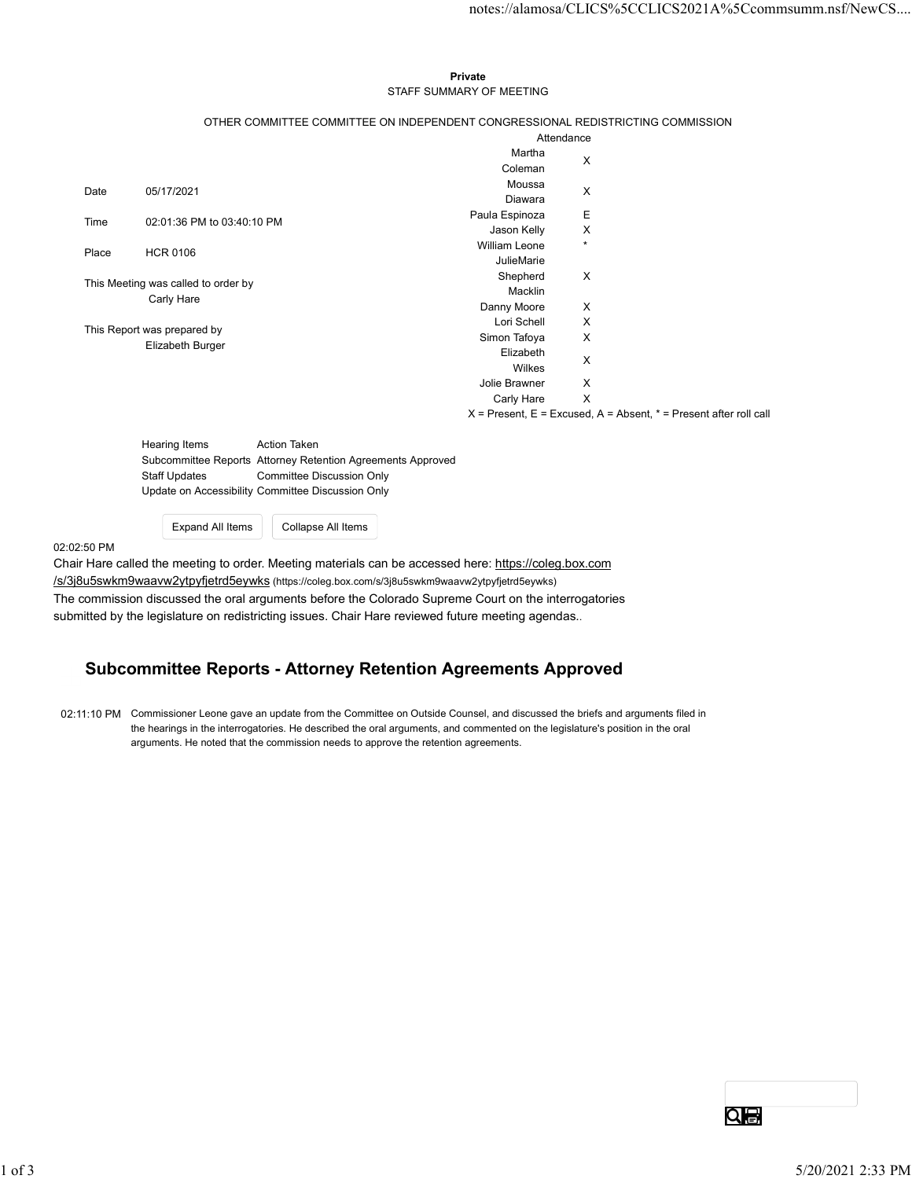#### Private **Private** and *Private* and *Private* and *Private* and *Private* and *Private* and *Private* and *Private* and *Private* and *Private* and *Private* and *Private* and *Private* and *Private* and *Private* and *Pri* STAFF SUMMARY OF MEETING

|         |                                                   |                                                                                 |                             |                           | notes://alamosa/CLICS%5CCLICS2021A%5Ccommsumm.nsf/NewCS                   |  |
|---------|---------------------------------------------------|---------------------------------------------------------------------------------|-----------------------------|---------------------------|---------------------------------------------------------------------------|--|
|         |                                                   |                                                                                 |                             |                           |                                                                           |  |
|         |                                                   |                                                                                 |                             |                           |                                                                           |  |
|         |                                                   |                                                                                 | Private                     |                           |                                                                           |  |
|         |                                                   |                                                                                 | STAFF SUMMARY OF MEETING    |                           |                                                                           |  |
|         |                                                   |                                                                                 |                             |                           |                                                                           |  |
|         |                                                   | OTHER COMMITTEE COMMITTEE ON INDEPENDENT CONGRESSIONAL REDISTRICTING COMMISSION |                             |                           |                                                                           |  |
|         |                                                   |                                                                                 |                             | Attendance                |                                                                           |  |
|         |                                                   |                                                                                 | Martha<br>Coleman           | X                         |                                                                           |  |
|         |                                                   |                                                                                 | Moussa                      |                           |                                                                           |  |
| Date    | 05/17/2021                                        |                                                                                 | Diawara                     | X                         |                                                                           |  |
| Time    | 02:01:36 PM to 03:40:10 PM                        |                                                                                 | Paula Espinoza              | Е                         |                                                                           |  |
|         |                                                   |                                                                                 | Jason Kelly                 | X<br>$\star$              |                                                                           |  |
| Place   | <b>HCR 0106</b>                                   |                                                                                 | William Leone<br>JulieMarie |                           |                                                                           |  |
|         |                                                   |                                                                                 | Shepherd                    | $\boldsymbol{\mathsf{X}}$ |                                                                           |  |
|         | This Meeting was called to order by               |                                                                                 | Macklin                     |                           |                                                                           |  |
|         | Carly Hare                                        |                                                                                 | Danny Moore                 | X                         |                                                                           |  |
|         | This Report was prepared by                       |                                                                                 | Lori Schell                 | X                         |                                                                           |  |
|         | Elizabeth Burger                                  |                                                                                 | Simon Tafoya<br>Elizabeth   | X                         |                                                                           |  |
|         |                                                   |                                                                                 | Wilkes                      | X                         |                                                                           |  |
|         |                                                   |                                                                                 | Jolie Brawner               | X                         |                                                                           |  |
|         |                                                   |                                                                                 | Carly Hare                  | $\mathsf{X}$              |                                                                           |  |
|         |                                                   |                                                                                 |                             |                           | $X =$ Present, $E =$ Excused, $A =$ Absent, $* =$ Present after roll call |  |
|         | <b>Hearing Items</b>                              | Action Taken                                                                    |                             |                           |                                                                           |  |
|         |                                                   | Subcommittee Reports Attorney Retention Agreements Approved                     |                             |                           |                                                                           |  |
|         | <b>Staff Updates</b>                              | <b>Committee Discussion Only</b>                                                |                             |                           |                                                                           |  |
|         | Update on Accessibility Committee Discussion Only |                                                                                 |                             |                           |                                                                           |  |
|         |                                                   |                                                                                 |                             |                           |                                                                           |  |
|         | Expand All Items                                  | Collapse All Items                                                              |                             |                           |                                                                           |  |
| 2:50 PM |                                                   |                                                                                 |                             |                           |                                                                           |  |

02:02:50 PM

Chair Hare called the meeting to order. Meeting materials can be accessed here: https://coleg.box.com /s/3j8u5swkm9waavw2ytpyfjetrd5eywks (https://coleg.box.com/s/3j8u5swkm9waavw2ytpyfjetrd5eywks)

The commission discussed the oral arguments before the Colorado Supreme Court on the interrogatories

submitted by the legislature on redistricting issues. Chair Hare reviewed future meeting agendas..

# Subcommittee Reports - Attorney Retention Agreements Approved

02:11:10 PM Commissioner Leone gave an update from the Committee on Outside Counsel, and discussed the briefs and arguments filed in the hearings in the interrogatories. He described the oral arguments, and commented on the legislature's position in the oral arguments. He noted that the commission needs to approve the retention agreements.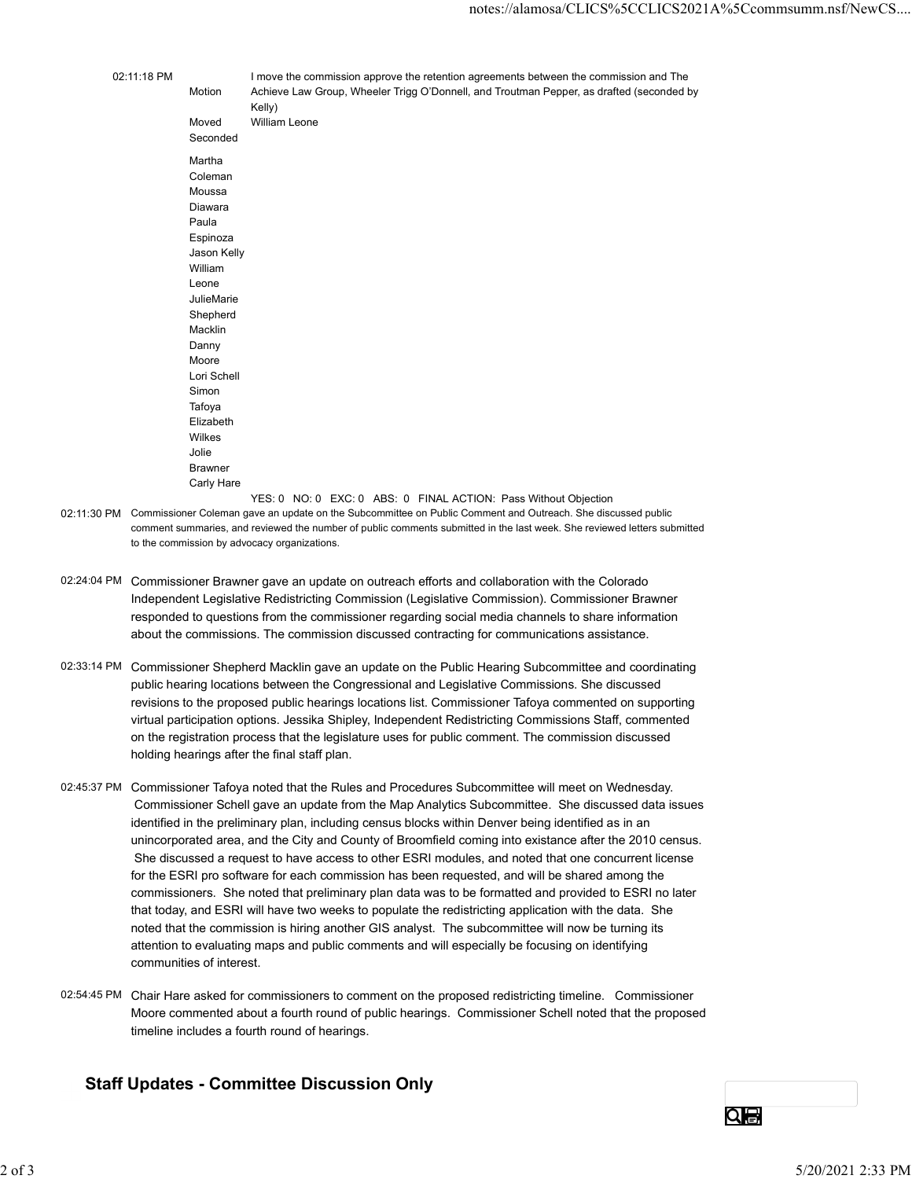|             |                         | notes://alamosa/CLICS%5CCLICS2021A%5Ccommsumm.nsf/NewCS                                                                                                                                     |
|-------------|-------------------------|---------------------------------------------------------------------------------------------------------------------------------------------------------------------------------------------|
|             |                         |                                                                                                                                                                                             |
| 02:11:18 PM | Motion                  | I move the commission approve the retention agreements between the commission and The<br>Achieve Law Group, Wheeler Trigg O'Donnell, and Troutman Pepper, as drafted (seconded by<br>Kelly) |
|             | Moved<br>Seconded       | William Leone                                                                                                                                                                               |
|             | Martha<br>Coleman       |                                                                                                                                                                                             |
|             | Moussa<br>Diawara       |                                                                                                                                                                                             |
|             | Paula<br>Espinoza       |                                                                                                                                                                                             |
|             | Jason Kelly             |                                                                                                                                                                                             |
|             | William<br>Leone        |                                                                                                                                                                                             |
|             | JulieMarie<br>Shepherd  |                                                                                                                                                                                             |
|             | Macklin<br>Danny        |                                                                                                                                                                                             |
|             | Moore<br>Lori Schell    |                                                                                                                                                                                             |
|             | Simon                   |                                                                                                                                                                                             |
|             | Tafoya<br>Elizabeth     |                                                                                                                                                                                             |
|             | Wilkes                  |                                                                                                                                                                                             |
|             | Jolie<br><b>Brawner</b> |                                                                                                                                                                                             |
|             | Carly Hare              | YES: 0 NO: 0 EXC: 0 ABS: 0 FINAL ACTION: Pass Without Objection                                                                                                                             |
|             |                         |                                                                                                                                                                                             |

02:11:30 PM Commissioner Coleman gave an update on the Subcommittee on Public Comment and Outreach. She discussed public comment summaries, and reviewed the number of public comments submitted in the last week. She reviewed letters submitted to the commission by advocacy organizations.

- 02:24:04 PM Commissioner Brawner gave an update on outreach efforts and collaboration with the Colorado Independent Legislative Redistricting Commission (Legislative Commission). Commissioner Brawner responded to questions from the commissioner regarding social media channels to share information about the commissions. The commission discussed contracting for communications assistance.
- 02:33:14 PM Commissioner Shepherd Macklin gave an update on the Public Hearing Subcommittee and coordinating public hearing locations between the Congressional and Legislative Commissions. She discussed revisions to the proposed public hearings locations list. Commissioner Tafoya commented on supporting virtual participation options. Jessika Shipley, Independent Redistricting Commissions Staff, commented on the registration process that the legislature uses for public comment. The commission discussed holding hearings after the final staff plan.
- 02:45:37 PM Commissioner Tafoya noted that the Rules and Procedures Subcommittee will meet on Wednesday. Commissioner Schell gave an update from the Map Analytics Subcommittee. She discussed data issues identified in the preliminary plan, including census blocks within Denver being identified as in an unincorporated area, and the City and County of Broomfield coming into existance after the 2010 census. She discussed a request to have access to other ESRI modules, and noted that one concurrent license for the ESRI pro software for each commission has been requested, and will be shared among the commissioners. She noted that preliminary plan data was to be formatted and provided to ESRI no later that today, and ESRI will have two weeks to populate the redistricting application with the data. She noted that the commission is hiring another GIS analyst. The subcommittee will now be turning its attention to evaluating maps and public comments and will especially be focusing on identifying communities of interest. 0245.37 PM Commissioner Scholl and the Rules and Procedures Subcommittiee will meet on Wednesday.<br>
Commissioner Schell gave an update from the Map Analytics Subcommittee. She discussed data issues<br>
identified in the preli
	- 02:54:45 PM Chair Hare asked for commissioners to comment on the proposed redistricting timeline. Commissioner Moore commented about a fourth round of public hearings. Commissioner Schell noted that the proposed timeline includes a fourth round of hearings.

# Staff Updates - Committee Discussion Only